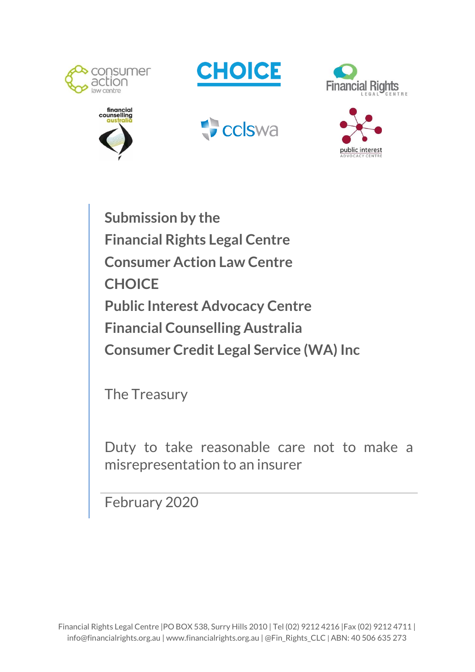











**Submission by the Financial Rights Legal Centre Consumer Action Law Centre CHOICE Public Interest Advocacy Centre Financial Counselling Australia Consumer Credit Legal Service (WA) Inc**

The Treasury

Duty to take reasonable care not to make a misrepresentation to an insurer

February 2020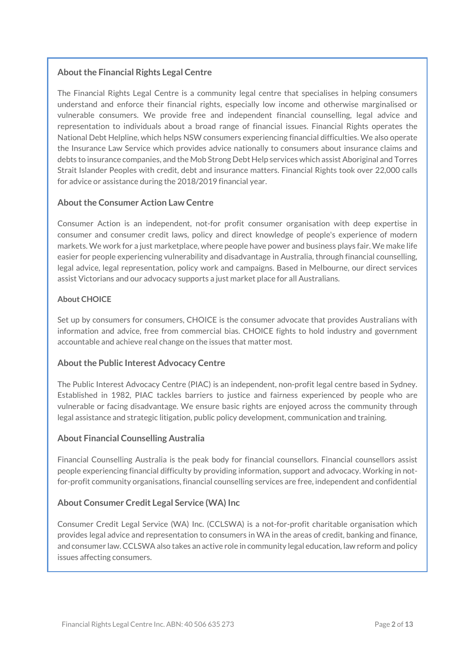#### **About the Financial Rights Legal Centre**

The Financial Rights Legal Centre is a community legal centre that specialises in helping consumers understand and enforce their financial rights, especially low income and otherwise marginalised or vulnerable consumers. We provide free and independent financial counselling, legal advice and representation to individuals about a broad range of financial issues. Financial Rights operates the National Debt Helpline, which helps NSW consumers experiencing financial difficulties. We also operate the Insurance Law Service which provides advice nationally to consumers about insurance claims and debts to insurance companies, and the Mob Strong Debt Help services which assist Aboriginal and Torres Strait Islander Peoples with credit, debt and insurance matters. Financial Rights took over 22,000 calls for advice or assistance during the 2018/2019 financial year.

#### **About the Consumer Action Law Centre**

Consumer Action is an independent, not-for profit consumer organisation with deep expertise in consumer and consumer credit laws, policy and direct knowledge of people's experience of modern markets. We work for a just marketplace, where people have power and business plays fair. We make life easier for people experiencing vulnerability and disadvantage in Australia, through financial counselling, legal advice, legal representation, policy work and campaigns. Based in Melbourne, our direct services assist Victorians and our advocacy supports a just market place for all Australians.

#### **About CHOICE**

Set up by consumers for consumers, CHOICE is the consumer advocate that provides Australians with information and advice, free from commercial bias. CHOICE fights to hold industry and government accountable and achieve real change on the issues that matter most.

#### **About the Public Interest Advocacy Centre**

The Public Interest Advocacy Centre (PIAC) is an independent, non-profit legal centre based in Sydney. Established in 1982, PIAC tackles barriers to justice and fairness experienced by people who are vulnerable or facing disadvantage. We ensure basic rights are enjoyed across the community through legal assistance and strategic litigation, public policy development, communication and training.

#### **About Financial Counselling Australia**

Financial Counselling Australia is the peak body for financial counsellors. Financial counsellors assist people experiencing financial difficulty by providing information, support and advocacy. Working in notfor-profit community organisations, financial counselling services are free, independent and confidential

#### **About Consumer Credit Legal Service (WA) Inc**

Consumer Credit Legal Service (WA) Inc. (CCLSWA) is a not-for-profit charitable organisation which provides legal advice and representation to consumers in WA in the areas of credit, banking and finance, and consumer law. CCLSWA also takes an active role in community legal education, law reform and policy issues affecting consumers.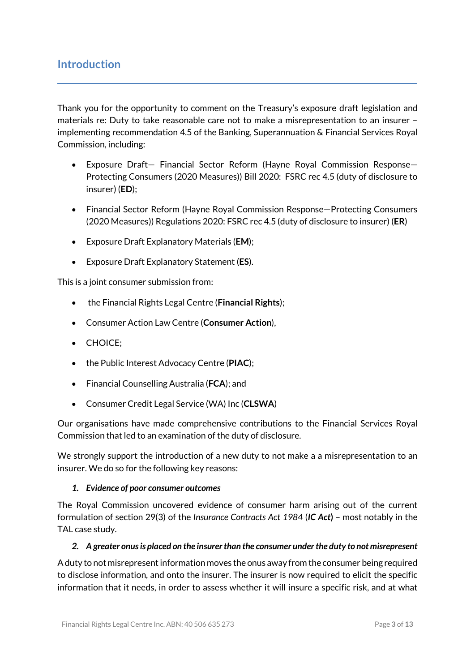# **Introduction**

Thank you for the opportunity to comment on the Treasury's exposure draft legislation and materials re: Duty to take reasonable care not to make a misrepresentation to an insurer – implementing recommendation 4.5 of the Banking, Superannuation & Financial Services Royal Commission, including:

- Exposure Draft— Financial Sector Reform (Hayne Royal Commission Response— Protecting Consumers (2020 Measures)) Bill 2020: FSRC rec 4.5 (duty of disclosure to insurer) (**ED**);
- Financial Sector Reform (Hayne Royal Commission Response—Protecting Consumers (2020 Measures)) Regulations 2020: FSRC rec 4.5 (duty of disclosure to insurer) (**ER**)
- Exposure Draft Explanatory Materials (**EM**);
- Exposure Draft Explanatory Statement (**ES**).

This is a joint consumer submission from:

- the Financial Rights Legal Centre (**Financial Rights**);
- Consumer Action Law Centre (**Consumer Action**),
- CHOICE:
- the Public Interest Advocacy Centre (**PIAC**);
- Financial Counselling Australia (**FCA**); and
- Consumer Credit Legal Service (WA) Inc (**CLSWA**)

Our organisations have made comprehensive contributions to the Financial Services Royal Commission that led to an examination of the duty of disclosure.

We strongly support the introduction of a new duty to not make a a misrepresentation to an insurer. We do so for the following key reasons:

### *1. Evidence of poor consumer outcomes*

The Royal Commission uncovered evidence of consumer harm arising out of the current formulation of section 29(3) of the *Insurance Contracts Act 1984* (*IC Act***)** – most notably in the TAL case study.

#### *2. A greater onusis placed on the insurerthan the consumer underthe duty to notmisrepresent*

A duty to not misrepresent information moves the onus away from the consumer being required to disclose information, and onto the insurer. The insurer is now required to elicit the specific information that it needs, in order to assess whether it will insure a specific risk, and at what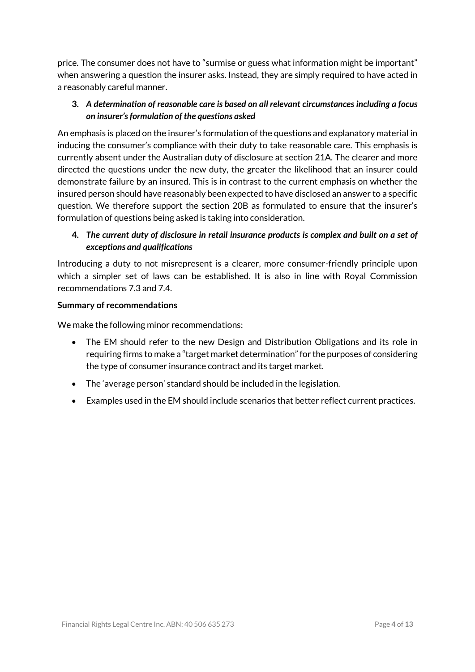price. The consumer does not have to "surmise or guess what information might be important" when answering a question the insurer asks. Instead, they are simply required to have acted in a reasonably careful manner.

## **3.** *A determination of reasonable care is based on all relevant circumstances including a focus on insurer'sformulation of the questions asked*

An emphasis is placed on the insurer's formulation of the questions and explanatory material in inducing the consumer's compliance with their duty to take reasonable care. This emphasis is currently absent under the Australian duty of disclosure at section 21A. The clearer and more directed the questions under the new duty, the greater the likelihood that an insurer could demonstrate failure by an insured. This is in contrast to the current emphasis on whether the insured person should have reasonably been expected to have disclosed an answer to a specific question. We therefore support the section 20B as formulated to ensure that the insurer's formulation of questions being asked is taking into consideration.

## **4.** *The current duty of disclosure in retail insurance products is complex and built on a set of exceptions and qualifications*

Introducing a duty to not misrepresent is a clearer, more consumer-friendly principle upon which a simpler set of laws can be established. It is also in line with Royal Commission recommendations 7.3 and 7.4.

### **Summary of recommendations**

We make the following minor recommendations:

- The EM should refer to the new Design and Distribution Obligations and its role in requiring firms to make a "target market determination" for the purposes of considering the type of consumer insurance contract and its target market.
- The 'average person' standard should be included in the legislation.
- Examples used in the EM should include scenarios that better reflect current practices.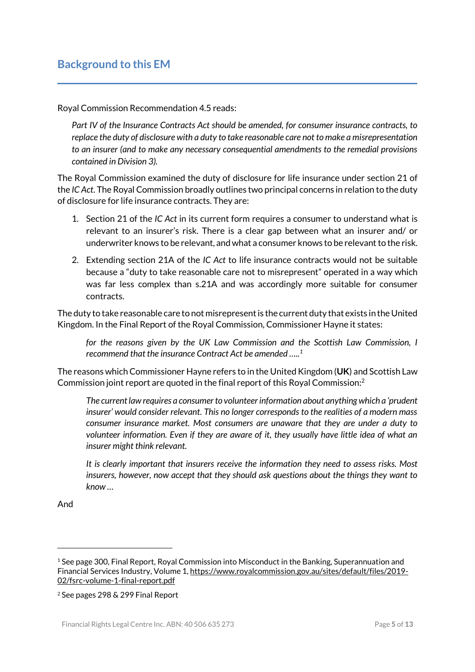Royal Commission Recommendation 4.5 reads:

*Part IV of the Insurance Contracts Act should be amended, for consumer insurance contracts, to replace the duty of disclosure with a duty to take reasonable care not to make a misrepresentation to an insurer (and to make any necessary consequential amendments to the remedial provisions contained in Division 3).*

The Royal Commission examined the duty of disclosure for life insurance under section 21 of the *IC Act*. The Royal Commission broadly outlines two principal concerns in relation to the duty of disclosure for life insurance contracts. They are:

- 1. Section 21 of the *IC Act* in its current form requires a consumer to understand what is relevant to an insurer's risk. There is a clear gap between what an insurer and/ or underwriter knows to be relevant, and what a consumer knows to be relevantto the risk.
- 2. Extending section 21A of the *IC Act* to life insurance contracts would not be suitable because a "duty to take reasonable care not to misrepresent" operated in a way which was far less complex than s.21A and was accordingly more suitable for consumer contracts.

The duty to take reasonable care to not misrepresent is the current duty that exists in the United Kingdom. In the Final Report of the Royal Commission, Commissioner Hayne it states:

for the reasons given by the UK Law Commission and the Scottish Law Commission, I *recommend that the insurance Contract Act be amended …..<sup>1</sup>*

The reasons which Commissioner Hayne refers to in the United Kingdom (**UK**) and Scottish Law Commission joint report are quoted in the final report of this Royal Commission:<sup>2</sup>

*The current law requires a consumer to volunteer information about anything which a 'prudent insurer' would consider relevant. This no longer corresponds to the realities of a modern mass consumer insurance market. Most consumers are unaware that they are under a duty to volunteer information. Even if they are aware of it, they usually have little idea of what an insurer might think relevant.* 

*It is clearly important that insurers receive the information they need to assess risks. Most insurers, however, now accept that they should ask questions about the things they want to know …*

And

<sup>1</sup> See page 300, Final Report, Royal Commission into Misconduct in the Banking, Superannuation and Financial Services Industry, Volume 1, [https://www.royalcommission.gov.au/sites/default/files/2019-](https://www.royalcommission.gov.au/sites/default/files/2019-02/fsrc-volume-1-final-report.pdf) [02/fsrc-volume-1-final-report.pdf](https://www.royalcommission.gov.au/sites/default/files/2019-02/fsrc-volume-1-final-report.pdf)

<sup>2</sup> See pages 298 & 299 Final Report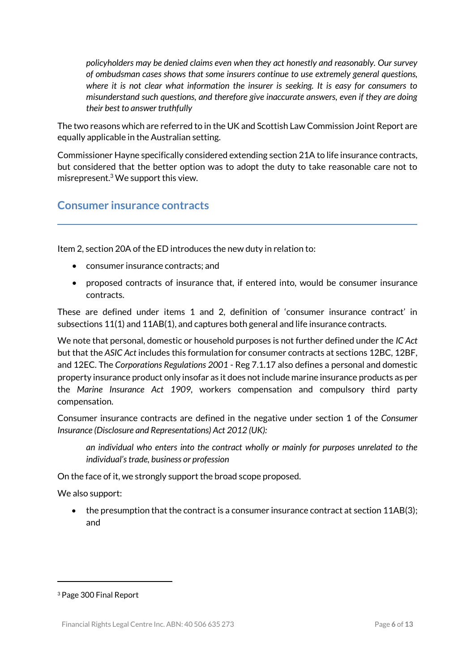*policyholders may be denied claims even when they act honestly and reasonably. Our survey of ombudsman cases shows that some insurers continue to use extremely general questions, where it is not clear what information the insurer is seeking. It is easy for consumers to misunderstand such questions, and therefore give inaccurate answers, even if they are doing their best to answer truthfully*

The two reasons which are referred to in the UK and Scottish Law Commission Joint Report are equally applicable in the Australian setting.

Commissioner Hayne specifically considered extending section 21A to life insurance contracts, but considered that the better option was to adopt the duty to take reasonable care not to misrepresent.<sup>3</sup> We support this view.

# **Consumer insurance contracts**

Item 2, section 20A of the ED introduces the new duty in relation to:

- consumer insurance contracts; and
- proposed contracts of insurance that, if entered into, would be consumer insurance contracts.

These are defined under items 1 and 2, definition of 'consumer insurance contract' in subsections 11(1) and 11AB(1), and captures both general and life insurance contracts.

We note that personal, domestic or household purposes is not further defined under the *IC Act* but that the *ASIC Act* includes this formulation for consumer contracts at sections 12BC, 12BF, and 12EC. The *Corporations Regulations 2001* - Reg 7.1.17 also defines a personal and domestic property insurance product only insofar as it does not include marine insurance products as per the *Marine Insurance Act 1909*, workers compensation and compulsory third party compensation.

Consumer insurance contracts are defined in the negative under section 1 of the *Consumer Insurance (Disclosure and Representations) Act 2012 (UK):*

*an individual who enters into the contract wholly or mainly for purposes unrelated to the individual's trade, business or profession*

On the face of it, we strongly support the broad scope proposed.

We also support:

 the presumption that the contract is a consumer insurance contract at section 11AB(3); and

<sup>3</sup> Page 300 Final Report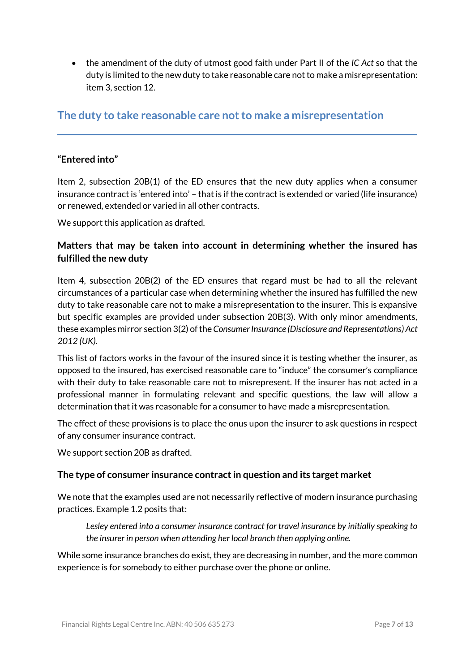the amendment of the duty of utmost good faith under Part II of the *IC Act* so that the duty is limited to the new duty to take reasonable care not to make a misrepresentation: item 3, section 12.

# **The duty to take reasonable care not to make a misrepresentation**

## **"Entered into"**

Item 2, subsection 20B(1) of the ED ensures that the new duty applies when a consumer insurance contract is 'entered into' – that is if the contract is extended or varied (life insurance) or renewed, extended or varied in all other contracts.

We support this application as drafted.

# **Matters that may be taken into account in determining whether the insured has fulfilled the new duty**

Item 4, subsection 20B(2) of the ED ensures that regard must be had to all the relevant circumstances of a particular case when determining whether the insured has fulfilled the new duty to take reasonable care not to make a misrepresentation to the insurer. This is expansive but specific examples are provided under subsection 20B(3). With only minor amendments, these examples mirror section 3(2) of the *Consumer Insurance (Disclosure and Representations) Act 2012 (UK).* 

This list of factors works in the favour of the insured since it is testing whether the insurer, as opposed to the insured, has exercised reasonable care to "induce" the consumer's compliance with their duty to take reasonable care not to misrepresent. If the insurer has not acted in a professional manner in formulating relevant and specific questions, the law will allow a determination that it was reasonable for a consumer to have made a misrepresentation.

The effect of these provisions is to place the onus upon the insurer to ask questions in respect of any consumer insurance contract.

We support section 20B as drafted.

### **The type of consumer insurance contract in question and its target market**

We note that the examples used are not necessarily reflective of modern insurance purchasing practices. Example 1.2 posits that:

*Lesley entered into a consumer insurance contract for travel insurance by initially speaking to the insurer in person when attending her local branch then applying online.*

While some insurance branches do exist, they are decreasing in number, and the more common experience is for somebody to either purchase over the phone or online.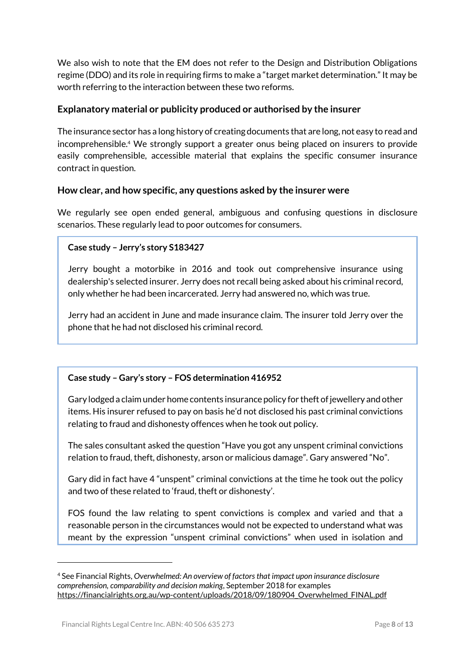We also wish to note that the EM does not refer to the Design and Distribution Obligations regime (DDO) and its role in requiring firms to make a "target market determination." It may be worth referring to the interaction between these two reforms.

### **Explanatory material or publicity produced or authorised by the insurer**

The insurance sector has a long history of creating documents that are long, not easy to read and incomprehensible.<sup>4</sup> We strongly support a greater onus being placed on insurers to provide easily comprehensible, accessible material that explains the specific consumer insurance contract in question.

#### **How clear, and how specific, any questions asked by the insurer were**

We regularly see open ended general, ambiguous and confusing questions in disclosure scenarios. These regularly lead to poor outcomes for consumers.

#### **Case study – Jerry's story S183427**

Jerry bought a motorbike in 2016 and took out comprehensive insurance using dealership's selected insurer. Jerry does not recall being asked about his criminal record, only whether he had been incarcerated. Jerry had answered no, which was true.

Jerry had an accident in June and made insurance claim. The insurer told Jerry over the phone that he had not disclosed his criminal record.

#### **Case study – Gary's story – FOS determination 416952**

Gary lodged a claim under home contents insurance policy for theft of jewellery and other items. His insurer refused to pay on basis he'd not disclosed his past criminal convictions relating to fraud and dishonesty offences when he took out policy.

The sales consultant asked the question "Have you got any unspent criminal convictions relation to fraud, theft, dishonesty, arson or malicious damage". Gary answered "No".

Gary did in fact have 4 "unspent" criminal convictions at the time he took out the policy and two of these related to 'fraud, theft or dishonesty'.

FOS found the law relating to spent convictions is complex and varied and that a reasonable person in the circumstances would not be expected to understand what was meant by the expression "unspent criminal convictions" when used in isolation and

<sup>4</sup> See Financial Rights, *Overwhelmed: An overview of factors that impact upon insurance disclosure comprehension, comparability and decision making*, September 2018 for examples [https://financialrights.org.au/wp-content/uploads/2018/09/180904\\_Overwhelmed\\_FINAL.pdf](https://financialrights.org.au/wp-content/uploads/2018/09/180904_Overwhelmed_FINAL.pdf)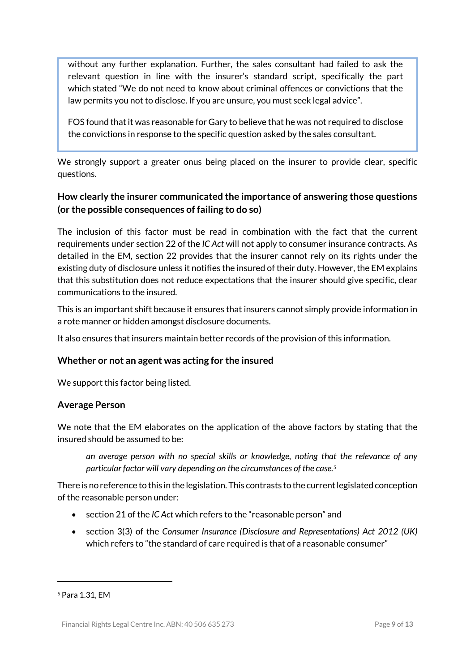without any further explanation. Further, the sales consultant had failed to ask the relevant question in line with the insurer's standard script, specifically the part which stated "We do not need to know about criminal offences or convictions that the law permits you not to disclose. If you are unsure, you must seek legal advice".

FOS found that it was reasonable for Gary to believe that he was not required to disclose the convictions in response to the specific question asked by the sales consultant.

We strongly support a greater onus being placed on the insurer to provide clear, specific questions.

# **How clearly the insurer communicated the importance of answering those questions (or the possible consequences of failing to do so)**

The inclusion of this factor must be read in combination with the fact that the current requirements under section 22 of the *IC Act* will not apply to consumer insurance contracts. As detailed in the EM, section 22 provides that the insurer cannot rely on its rights under the existing duty of disclosure unless it notifies the insured of their duty. However, the EM explains that this substitution does not reduce expectations that the insurer should give specific, clear communications to the insured.

This is an important shift because it ensures that insurers cannot simply provide information in a rote manner or hidden amongst disclosure documents.

It also ensures that insurers maintain better records of the provision of this information.

### **Whether or not an agent was acting for the insured**

We support this factor being listed.

### **Average Person**

We note that the EM elaborates on the application of the above factors by stating that the insured should be assumed to be:

*an average person with no special skills or knowledge, noting that the relevance of any particular factor will vary depending on the circumstances of the case.<sup>5</sup>*

There is no reference to this in the legislation. This contrasts to the current legislated conception of the reasonable person under:

- section 21 of the *IC Act* which refers to the "reasonable person" and
- section 3(3) of the *Consumer Insurance (Disclosure and Representations) Act 2012 (UK)* which refers to "the standard of care required is that of a reasonable consumer"

<sup>5</sup> Para 1.31, EM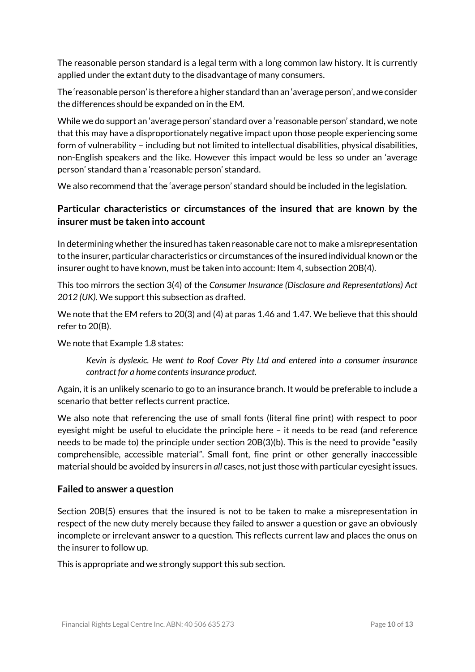The reasonable person standard is a legal term with a long common law history. It is currently applied under the extant duty to the disadvantage of many consumers.

The 'reasonable person' is therefore a higher standard than an 'average person', and we consider the differences should be expanded on in the EM.

While we do support an 'average person' standard over a 'reasonable person' standard, we note that this may have a disproportionately negative impact upon those people experiencing some form of vulnerability – including but not limited to intellectual disabilities, physical disabilities, non-English speakers and the like. However this impact would be less so under an 'average person' standard than a 'reasonable person' standard.

We also recommend that the 'average person' standard should be included in the legislation.

# **Particular characteristics or circumstances of the insured that are known by the insurer must be taken into account**

In determining whether the insured has taken reasonable care not to make a misrepresentation to the insurer, particular characteristics or circumstances of the insured individual known or the insurer ought to have known, must be taken into account: Item 4, subsection 20B(4).

This too mirrors the section 3(4) of the *Consumer Insurance (Disclosure and Representations) Act 2012 (UK).* We support this subsection as drafted.

We note that the EM refers to 20(3) and (4) at paras 1.46 and 1.47. We believe that this should refer to 20(B).

We note that Example 1.8 states:

*Kevin is dyslexic. He went to Roof Cover Pty Ltd and entered into a consumer insurance contract for a home contents insurance product.*

Again, it is an unlikely scenario to go to an insurance branch. It would be preferable to include a scenario that better reflects current practice.

We also note that referencing the use of small fonts (literal fine print) with respect to poor eyesight might be useful to elucidate the principle here – it needs to be read (and reference needs to be made to) the principle under section 20B(3)(b). This is the need to provide "easily comprehensible, accessible material". Small font, fine print or other generally inaccessible material should be avoided by insurers in *all* cases, not just those with particular eyesight issues.

### **Failed to answer a question**

Section 20B(5) ensures that the insured is not to be taken to make a misrepresentation in respect of the new duty merely because they failed to answer a question or gave an obviously incomplete or irrelevant answer to a question. This reflects current law and places the onus on the insurer to follow up.

This is appropriate and we strongly support this sub section.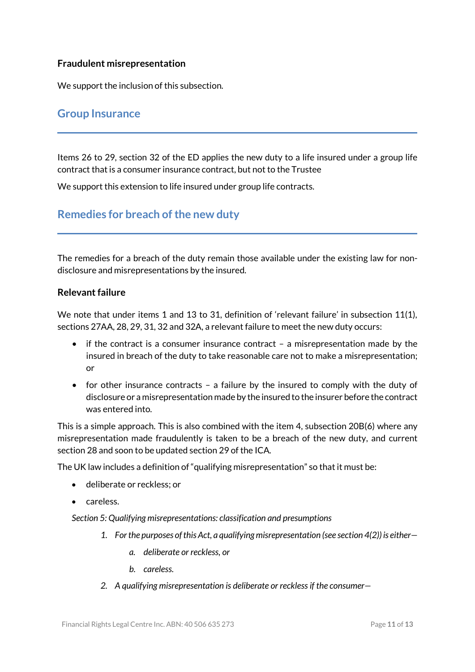#### **Fraudulent misrepresentation**

We support the inclusion of this subsection.

# **Group Insurance**

Items 26 to 29, section 32 of the ED applies the new duty to a life insured under a group life contract that is a consumer insurance contract, but not to the Trustee

We support this extension to life insured under group life contracts.

# **Remedies for breach of the new duty**

The remedies for a breach of the duty remain those available under the existing law for nondisclosure and misrepresentations by the insured.

#### **Relevant failure**

We note that under items 1 and 13 to 31, definition of 'relevant failure' in subsection 11(1), sections 27AA, 28, 29, 31, 32 and 32A, a relevant failure to meet the new duty occurs:

- if the contract is a consumer insurance contract a misrepresentation made by the insured in breach of the duty to take reasonable care not to make a misrepresentation; or
- for other insurance contracts a failure by the insured to comply with the duty of disclosure or a misrepresentation made by the insured to the insurer before the contract was entered into.

This is a simple approach. This is also combined with the item 4, subsection 20B(6) where any misrepresentation made fraudulently is taken to be a breach of the new duty, and current section 28 and soon to be updated section 29 of the ICA.

The UK law includes a definition of "qualifying misrepresentation" so that it must be:

- deliberate or reckless; or
- careless.

*Section 5: Qualifying misrepresentations: classification and presumptions*

- *1. Forthe purposes ofthisAct, a qualifying misrepresentation (see section 4(2)) is either*
	- *a. deliberate or reckless, or*
	- *b. careless.*
- *2. A qualifying misrepresentation is deliberate or reckless if the consumer—*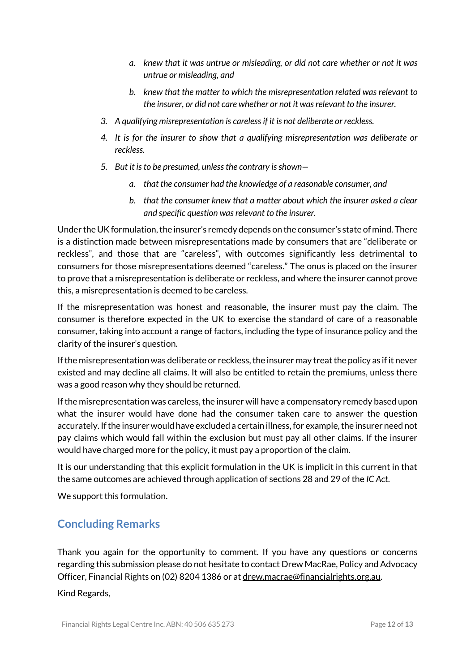- *a. knew that it was untrue or misleading, or did not care whether or not it was untrue or misleading, and*
- *b. knew that the matter to which the misrepresentation related was relevant to the insurer, or did not care whether or not it wasrelevant to the insurer.*
- *3. A qualifying misrepresentation is careless if it is not deliberate or reckless.*
- *4. It is for the insurer to show that a qualifying misrepresentation was deliberate or reckless.*
- *5. But it isto be presumed, unlessthe contrary is shown*
	- *a. that the consumer had the knowledge of a reasonable consumer, and*
	- *b. that the consumer knew that a matter about which the insurer asked a clear and specific question was relevant to the insurer.*

Under the UK formulation, the insurer's remedy depends on the consumer's state of mind. There is a distinction made between misrepresentations made by consumers that are "deliberate or reckless", and those that are "careless", with outcomes significantly less detrimental to consumers for those misrepresentations deemed "careless." The onus is placed on the insurer to prove that a misrepresentation is deliberate or reckless, and where the insurer cannot prove this, a misrepresentation is deemed to be careless.

If the misrepresentation was honest and reasonable, the insurer must pay the claim. The consumer is therefore expected in the UK to exercise the standard of care of a reasonable consumer, taking into account a range of factors, including the type of insurance policy and the clarity of the insurer's question.

If the misrepresentation was deliberate or reckless, the insurer may treat the policy as if it never existed and may decline all claims. It will also be entitled to retain the premiums, unless there was a good reason why they should be returned.

If the misrepresentation was careless, the insurer will have a compensatory remedy based upon what the insurer would have done had the consumer taken care to answer the question accurately. If the insurer would have excluded a certain illness, for example, the insurer need not pay claims which would fall within the exclusion but must pay all other claims. If the insurer would have charged more for the policy, it must pay a proportion of the claim.

It is our understanding that this explicit formulation in the UK is implicit in this current in that the same outcomes are achieved through application of sections 28 and 29 of the *IC Act*.

We support this formulation.

# **Concluding Remarks**

Thank you again for the opportunity to comment. If you have any questions or concerns regarding this submission please do not hesitate to contact Drew MacRae, Policy and Advocacy Officer, Financial Rights on (02) 8204 1386 or a[t drew.macrae@financialrights.org.au.](mailto:drew.macrae@financialrights.org.au)

Kind Regards,